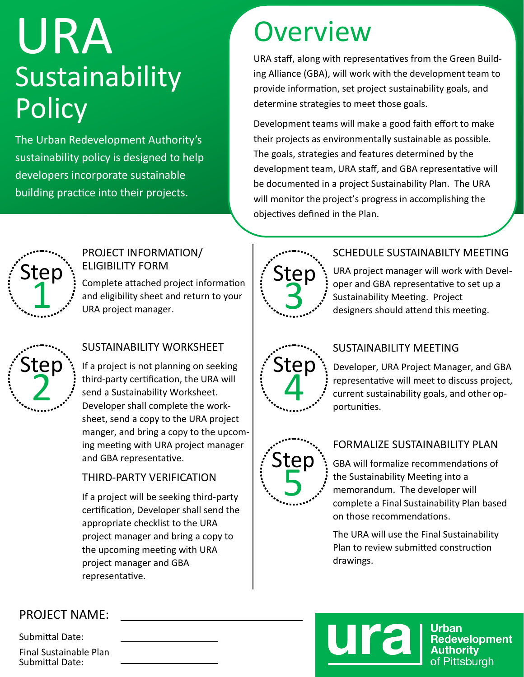# URA Sustainability **Policy**

The Urban Redevelopment Authority's sustainability policy is designed to help developers incorporate sustainable building practice into their projects.

# **Overview**

URA staff, along with representatives from the Green Building Alliance (GBA), will work with the development team to provide information, set project sustainability goals, and determine strategies to meet those goals.

Development teams will make a good faith effort to make their projects as environmentally sustainable as possible. The goals, strategies and features determined by the development team, URA staff, and GBA representative will be documented in a project Sustainability Plan. The URA will monitor the project's progress in accomplishing the objectives defined in the Plan.



#### PROJECT INFORMATION/ ELIGIBILITY FORM

Complete attached project information and eligibility sheet and return to your URA project manager. tep<br>
Complete attached project information<br>
URA project manager.



#### SUSTAINABILITY WORKSHEET

If a project is not planning on seeking third-party certification, the URA will send a Sustainability Worksheet. Developer shall complete the worksheet, send a copy to the URA project manger, and bring a copy to the upcoming meeting with URA project manager and GBA representative.

#### THIRD-PARTY VERIFICATION

If a project will be seeking third-party certification, Developer shall send the appropriate checklist to the URA project manager and bring a copy to the upcoming meeting with URA project manager and GBA representative.



#### SCHEDULE SUSTAINABILTY MEETING

URA project manager will work with Developer and GBA representative to set up a Sustainability Meeting. Project designers should attend this meeting.



#### SUSTAINABILITY MEETING

Developer, URA Project Manager, and GBA representative will meet to discuss project, current sustainability goals, and other opportunities.



#### FORMALIZE SUSTAINABILITY PLAN

GBA will formalize recommendations of the Sustainability Meeting into a memorandum. The developer will complete a Final Sustainability Plan based on those recommendations.

The URA will use the Final Sustainability Plan to review submitted construction drawings.



Submittal Date: Final Sustainable Plan Submittal Date:



Urban Redevelopment **Authority** of Pittsburgh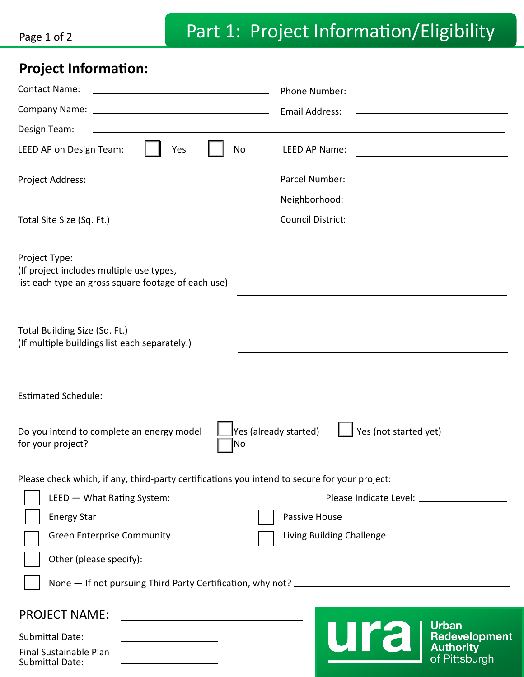## **Project Information:**

| <b>Contact Name:</b><br><u> 1989 - Andrea Barbara, poeta esperanto-poeta esperanto-poeta esperanto-poeta esperanto-poeta esperanto-poeta</u> | Phone Number:<br><u> Alexandria de la contrada de la contrada de la contrada de la contrada de la contrada de la contrada de la c</u>                                                                                                                                                                                                                   |
|----------------------------------------------------------------------------------------------------------------------------------------------|---------------------------------------------------------------------------------------------------------------------------------------------------------------------------------------------------------------------------------------------------------------------------------------------------------------------------------------------------------|
|                                                                                                                                              | Email Address:<br><u>and the state of the state of the state of the state of the state of the state of the state of the state of the state of the state of the state of the state of the state of the state of the state of the state of the state</u>                                                                                                  |
| Design Team:                                                                                                                                 | <u>and the contract of the contract of the contract of the contract of the contract of the contract of the contract of the contract of the contract of the contract of the contract of the contract of the contract of the contr</u>                                                                                                                    |
| LEED AP on Design Team:<br>Yes<br>No                                                                                                         | LEED AP Name:<br><u> 1989 - Andrea Andrew Maria (h. 1989).</u>                                                                                                                                                                                                                                                                                          |
|                                                                                                                                              | Parcel Number:<br><u> Alexandria de la contexta de la contexta de la contexta de la contexta de la contexta de la contexta de la c</u>                                                                                                                                                                                                                  |
| <u> 1989 - Johann Stein, Amerikaansk politiker († 1908)</u>                                                                                  | Neighborhood:<br><u> 1989 - Johann Harry Harry Harry Harry Harry Harry Harry Harry Harry Harry Harry Harry Harry Harry Harry Harry</u>                                                                                                                                                                                                                  |
|                                                                                                                                              | Council District: <u>_______________________________</u>                                                                                                                                                                                                                                                                                                |
| Project Type:<br>(If project includes multiple use types,<br>list each type an gross square footage of each use)                             | the contract of the contract of the contract of the contract of the contract of the contract of the contract of<br>and the control of the control of the control of the control of the control of the control of the control of the<br>and the control of the control of the control of the control of the control of the control of the control of the |
| Total Building Size (Sq. Ft.)<br>(If multiple buildings list each separately.)                                                               | <u> 1989 - Johann Stoff, amerikansk politiker (d. 1989)</u><br>and the control of the control of the control of the control of the control of the control of the control of the                                                                                                                                                                         |
|                                                                                                                                              |                                                                                                                                                                                                                                                                                                                                                         |
| Yes (already started)<br>Yes (not started yet)<br>Do you intend to complete an energy model<br>for your project?<br>No                       |                                                                                                                                                                                                                                                                                                                                                         |
| Please check which, if any, third-party certifications you intend to secure for your project:                                                |                                                                                                                                                                                                                                                                                                                                                         |
|                                                                                                                                              |                                                                                                                                                                                                                                                                                                                                                         |
| <b>Energy Star</b>                                                                                                                           | Passive House                                                                                                                                                                                                                                                                                                                                           |
| <b>Green Enterprise Community</b>                                                                                                            | Living Building Challenge                                                                                                                                                                                                                                                                                                                               |
| Other (please specify):                                                                                                                      |                                                                                                                                                                                                                                                                                                                                                         |
|                                                                                                                                              |                                                                                                                                                                                                                                                                                                                                                         |
| <b>PROJECT NAME:</b><br><u> 1989 - Johann Marie Barn, mars eta industrial eta industrial eta industrial eta industrial eta industrial e</u>  | <b>Urban</b>                                                                                                                                                                                                                                                                                                                                            |
| <b>Submittal Date:</b><br><u> 1989 - Johann Barn, mars ann an t-San A</u>                                                                    | ura<br><b>Redevelopment</b><br><b>Authority</b>                                                                                                                                                                                                                                                                                                         |
| Final Sustainable Plan<br>Submittal Date:                                                                                                    | of Pittsburgh                                                                                                                                                                                                                                                                                                                                           |